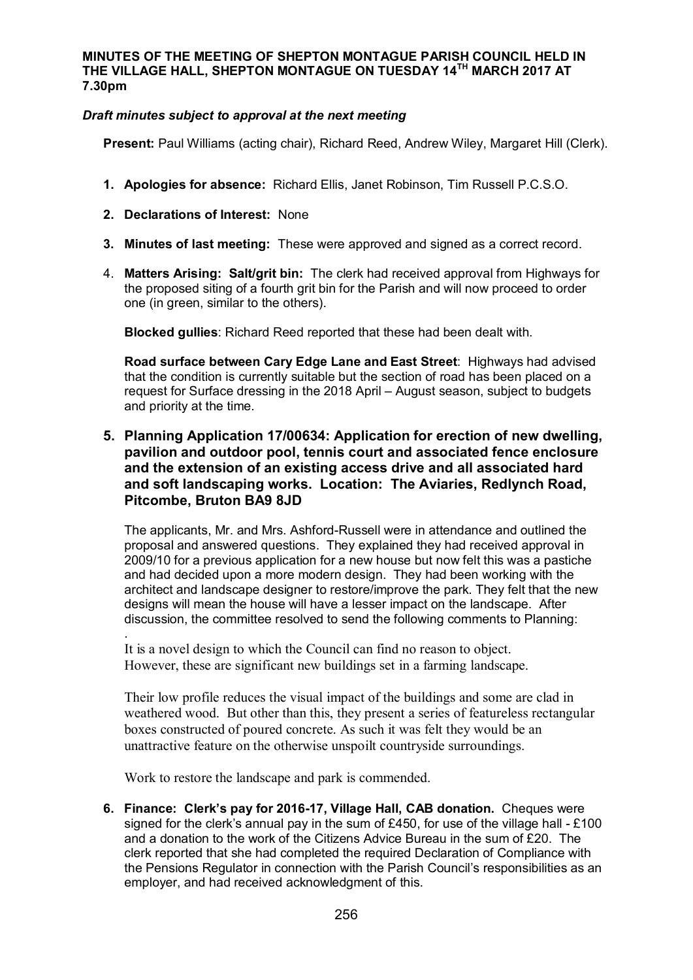#### **MINUTES OF THE MEETING OF SHEPTON MONTAGUE PARISH COUNCIL HELD IN THE VILLAGE HALL, SHEPTON MONTAGUE ON TUESDAY 14TH MARCH 2017 AT 7.30pm**

### *Draft minutes subject to approval at the next meeting*

**Present:** Paul Williams (acting chair), Richard Reed, Andrew Wiley, Margaret Hill (Clerk).

- **1. Apologies for absence:** Richard Ellis, Janet Robinson, Tim Russell P.C.S.O.
- **2. Declarations of Interest:** None
- **3. Minutes of last meeting:** These were approved and signed as a correct record.
- 4. **Matters Arising: Salt/grit bin:** The clerk had received approval from Highways for the proposed siting of a fourth grit bin for the Parish and will now proceed to order one (in green, similar to the others).

**Blocked gullies**: Richard Reed reported that these had been dealt with.

**Road surface between Cary Edge Lane and East Street**: Highways had advised that the condition is currently suitable but the section of road has been placed on a request for Surface dressing in the 2018 April – August season, subject to budgets and priority at the time.

# **5. Planning Application 17/00634: Application for erection of new dwelling, pavilion and outdoor pool, tennis court and associated fence enclosure and the extension of an existing access drive and all associated hard and soft landscaping works. Location: The Aviaries, Redlynch Road, Pitcombe, Bruton BA9 8JD**

The applicants, Mr. and Mrs. Ashford-Russell were in attendance and outlined the proposal and answered questions. They explained they had received approval in 2009/10 for a previous application for a new house but now felt this was a pastiche and had decided upon a more modern design. They had been working with the architect and landscape designer to restore/improve the park. They felt that the new designs will mean the house will have a lesser impact on the landscape. After discussion, the committee resolved to send the following comments to Planning: .

It is a novel design to which the Council can find no reason to object. However, these are significant new buildings set in a farming landscape.

Their low profile reduces the visual impact of the buildings and some are clad in weathered wood. But other than this, they present a series of featureless rectangular boxes constructed of poured concrete. As such it was felt they would be an unattractive feature on the otherwise unspoilt countryside surroundings.

Work to restore the landscape and park is commended.

**6. Finance: Clerk's pay for 2016-17, Village Hall, CAB donation.** Cheques were signed for the clerk's annual pay in the sum of £450, for use of the village hall - £100 and a donation to the work of the Citizens Advice Bureau in the sum of £20. The clerk reported that she had completed the required Declaration of Compliance with the Pensions Regulator in connection with the Parish Council's responsibilities as an employer, and had received acknowledgment of this.